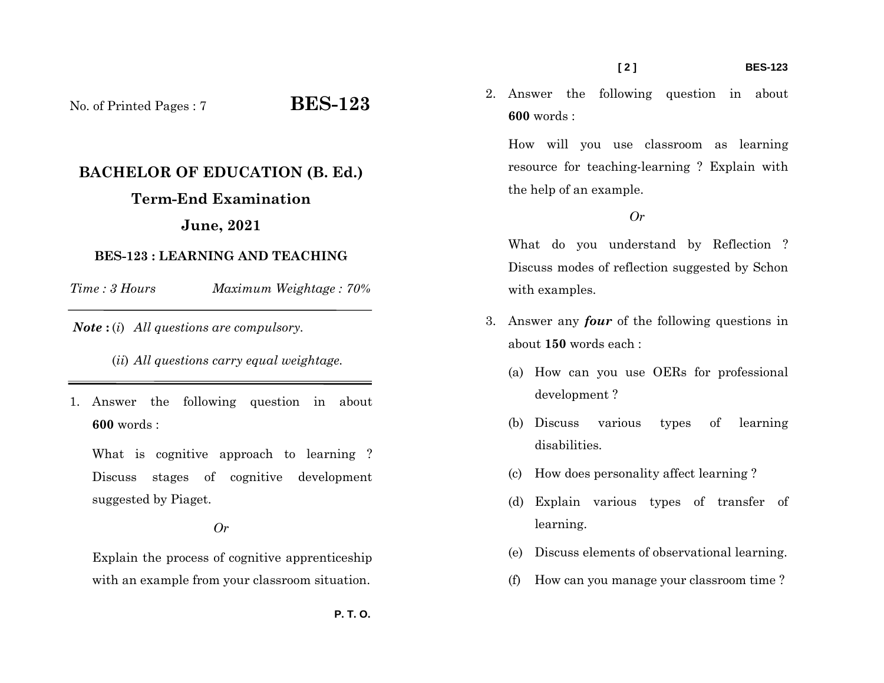No. of Printed Pages : 7 **BES-123**

# **BACHELOR OF EDUCATION (B. Ed.)**

## **Term-End Examination**

## **June, 2021**

### **BES-123 : LEARNING AND TEACHING**

*Time : 3 HoursMaximum Weightage : 70%* 

*Note* **:** (*i*) *All questions are compulsory.* 

(*ii*) *All questions carry equal weightage.* 

1. Answer the following question in about **600** words :

What is cognitive approach to learning ? Discuss stages of cognitive development suggested by Piaget.

#### *Or*

Explain the process of cognitive apprenticeship with an example from your classroom situation.

2. Answer the following question in about **600** words :

How will you use classroom as learning resource for teaching-learning ? Explain with the help of an example.

#### *Or*

What do you understand by Reflection ? Discuss modes of reflection suggested by Schon with examples.

- 3. Answer any *four* of the following questions in about **150** words each :
	- (a) How can you use OERs for professional development ?
	- (b) Discuss various types of learning disabilities.
	- (c) How does personality affect learning ?
	- (d) Explain various types of transfer of learning.
	- (e) Discuss elements of observational learning.
	- (f) How can you manage your classroom time ?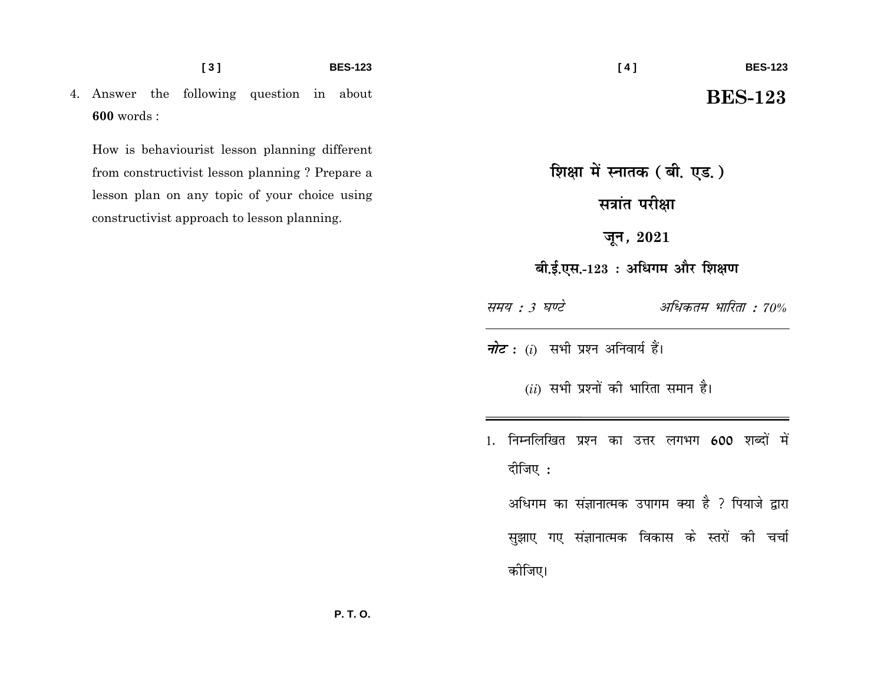4. Answer the following question in about  $600$  words:

How is behaviourist lesson planning different from constructivist lesson planning ? Prepare a lesson plan on any topic of your choice using constructivist approach to lesson planning.

## **BES-123**

शिक्षा में स्नातक (बी. एड.) सत्रांत परीक्षा जून*,*  $2021$ बी.ई.एस.-123: अधिगम और शिक्षण समय : 3 घण्टे अधिकतम भारिता : 70% *नोट* : (i) सभी प्रश्न अनिवार्य हैं।  $(ii)$  सभी प्रश्नों की भारिता समान है। 1. निम्नलिखित प्रश्न का उत्तर लगभग 600 शब्दों में दीजिए : अधिगम का संज्ञानात्मक उपागम क्या है ? पियाजे द्वारा सुझाए गए संज्ञानात्मक विकास के स्तरों की चर्चा कीजिए।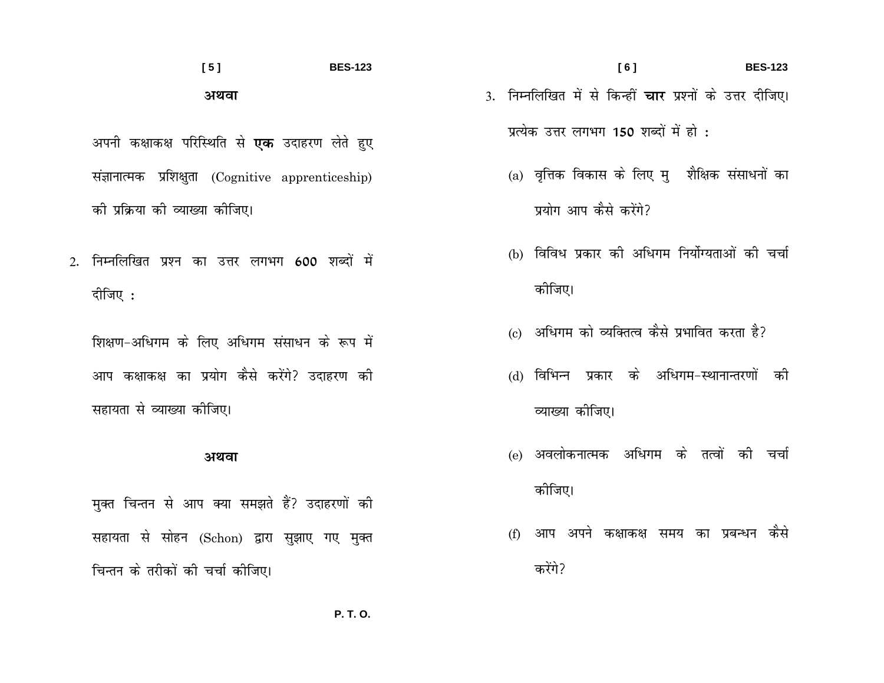#### $[5]$ **BES-123** अथवा

अपनी कक्षाकक्ष परिस्थिति से **एक** उदाहरण लेते हुए संज्ञानात्मक प्रशिक्षुता (Cognitive apprenticeship) की प्रक्रिया की व्याख्या कीजिए।

2. निम्नलिखित प्रश्न का उत्तर लगभग 600 शब्दों में दीजिए :

शिक्षण-अधिगम के लिए अधिगम संसाधन के रूप में आप कक्षाकक्ष का प्रयोग कैसे करेंगे? उदाहरण की सहायता से व्याख्या कीजिए।

#### अथवा

मुक्त चिन्तन से आप क्या समझते हैं? उदाहरणों की सहायता से सोहन (Schon) द्वारा सुझाए गए मुक्त चिन्तन के तरीकों की चर्चा कीजिए।

- $[6]$ **BES-123** 3. निम्नलिखित में से किन्हीं **चार** प्रश्नों के उत्तर दीजिए। प्रत्येक उत्तर लगभग 150 शब्दों में हो :
	- (a) वृत्तिक विकास के लिए मृ शैक्षिक संसाधनों का प्रयोग आप कैसे करेंगे?
	- (b) विविध प्रकार की अधिगम निर्योग्यताओं की चर्चा कोजिए।
	- (c) अधिगम को व्यक्तित्व कैसे प्रभावित करता है?
	- (d) विभिन्न प्रकार के अधिगम-स्थानान्तरणों की व्याख्या कीजिए।
	- (e) अवलोकनात्मक अधिगम के तत्वों की चर्चा कोजिए।
	- (f) आप अपने कक्षाकक्ष समय का प्रबन्धन कैसे करेंगे?